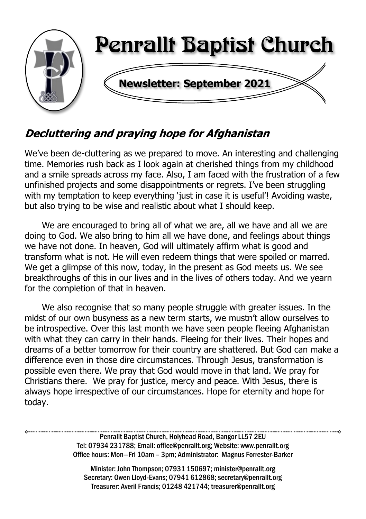

# **Decluttering and praying hope for Afghanistan**

We've been de-cluttering as we prepared to move. An interesting and challenging time. Memories rush back as I look again at cherished things from my childhood and a smile spreads across my face. Also, I am faced with the frustration of a few unfinished projects and some disappointments or regrets. I've been struggling with my temptation to keep everything 'just in case it is useful'! Avoiding waste, but also trying to be wise and realistic about what I should keep.

We are encouraged to bring all of what we are, all we have and all we are doing to God. We also bring to him all we have done, and feelings about things we have not done. In heaven, God will ultimately affirm what is good and transform what is not. He will even redeem things that were spoiled or marred. We get a glimpse of this now, today, in the present as God meets us. We see breakthroughs of this in our lives and in the lives of others today. And we yearn for the completion of that in heaven.

We also recognise that so many people struggle with greater issues. In the midst of our own busyness as a new term starts, we mustn't allow ourselves to be introspective. Over this last month we have seen people fleeing Afghanistan with what they can carry in their hands. Fleeing for their lives. Their hopes and dreams of a better tomorrow for their country are shattered. But God can make a difference even in those dire circumstances. Through Jesus, transformation is possible even there. We pray that God would move in that land. We pray for Christians there. We pray for justice, mercy and peace. With Jesus, there is always hope irrespective of our circumstances. Hope for eternity and hope for today.

> Penrallt Baptist Church, Holyhead Road, Bangor LL57 2EU Tel: 07934 231788; Email: office@penrallt.org; Website: www.penrallt.org Office hours: Mon—Fri 10am – 3pm; Administrator: Magnus Forrester-Barker

Minister: John Thompson; 07931 150697; minister@penrallt.org Secretary: Owen Lloyd-Evans; 07941 612868; secretary@penrallt.org Treasurer: Averil Francis; 01248 421744; treasurer@penrallt.org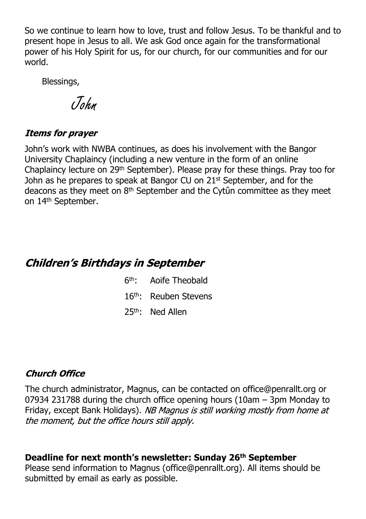So we continue to learn how to love, trust and follow Jesus. To be thankful and to present hope in Jesus to all. We ask God once again for the transformational power of his Holy Spirit for us, for our church, for our communities and for our world.

Blessings,

John

#### **Items for prayer**

John's work with NWBA continues, as does his involvement with the Bangor University Chaplaincy (including a new venture in the form of an online Chaplaincy lecture on 29th September). Please pray for these things. Pray too for John as he prepares to speak at Bangor CU on 21st September, and for the deacons as they meet on 8th September and the Cytûn committee as they meet on 14th September.

### **Children's Birthdays in September**

- $6th -$ Aoife Theobald
- 16th: Reuben Stevens
- 25th: Ned Allen

#### **Church Office**

The church administrator, Magnus, can be contacted on office@penrallt.org or 07934 231788 during the church office opening hours (10am – 3pm Monday to Friday, except Bank Holidays). NB Magnus is still working mostly from home at the moment, but the office hours still apply.

#### **Deadline for next month's newsletter: Sunday 26th September**

Please send information to Magnus (office@penrallt.org). All items should be submitted by email as early as possible.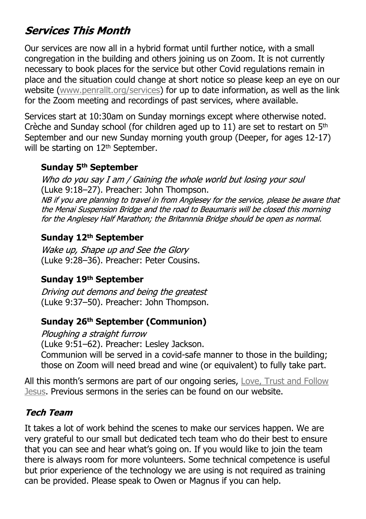# **Services This Month**

Our services are now all in a hybrid format until further notice, with a small congregation in the building and others joining us on Zoom. It is not currently necessary to book places for the service but other Covid regulations remain in place and the situation could change at short notice so please keep an eye on our website ([www.penrallt.org/services\)](https://www.penrallt.org/services/index.php) for up to date information, as well as the link for the Zoom meeting and recordings of past services, where available.

Services start at 10:30am on Sunday mornings except where otherwise noted. Crèche and Sunday school (for children aged up to 11) are set to restart on  $5<sup>th</sup>$ September and our new Sunday morning youth group (Deeper, for ages 12-17) will be starting on 12<sup>th</sup> September.

#### **Sunday 5th September**

Who do you say I am / Gaining the whole world but losing your soul (Luke 9:18–27). Preacher: John Thompson.<br>NB if you are planning to trayel in from Anglesey for the service, please be aware that the Menai Suspension Bridge and the road to Beaumaris will be closed this morning for the Anglesey Half Marathon; the Britannnia Bridge should be open as normal.

#### **Sunday 12th September**

Wake up. Shape up and See the Glory (Luke 9:28–36). Preacher: Peter Cousins.

#### **Sunday 19th September**

Driving out demons and being the greatest (Luke 9:37–50). Preacher: John Thompson.

#### **Sunday 26th September (Communion)**

Ploughing a straight furrow (Luke 9:51–62). Preacher: Lesley Jackson. Communion will be served in a covid-safe manner to those in the building;

those on Zoom will need bread and wine (or equivalent) to fully take part.

All this month's sermons are part of our ongoing series, [Love, Trust and Follow](https://www.penrallt.org/sermons/series.php?sid=BAC) [Jesus](https://www.penrallt.org/sermons/series.php?sid=BAC). Previous sermons in the series can be found on our website.

#### **Tech Team**

It takes a lot of work behind the scenes to make our services happen. We are very grateful to our small but dedicated tech team who do their best to ensure that you can see and hear what's going on. If you would like to join the team there is always room for more volunteers. Some technical competence is useful but prior experience of the technology we are using is not required as training can be provided. Please speak to Owen or Magnus if you can help.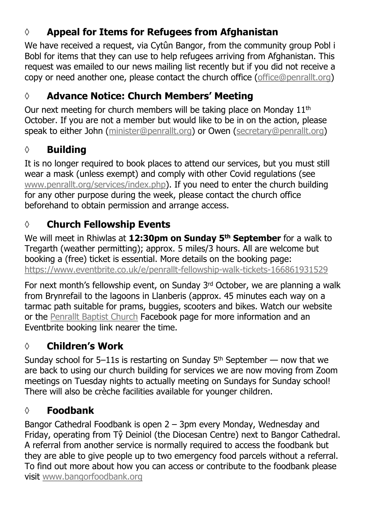## **◊ Appeal for Items for Refugees from Afghanistan**

We have received a request, via Cytûn Bangor, from the community group Pobl i Bobl for items that they can use to help refugees arriving from Afghanistan. This request was emailed to our news mailing list recently but if you did not receive a copy or need another one, please contact the church office ([office@penrallt.org\)](mailto:office@penrallt.org)

## **◊ Advance Notice: Church Members' Meeting**

Our next meeting for church members will be taking place on Monday 11<sup>th</sup> October. If you are not a member but would like to be in on the action, please speak to either John ([minister@penrallt.org\)](mailto:minister@penrallt.org) or Owen [\(secretary@penrallt.org\)](mailto:secretary@penrallt.org)

### **◊ Building**

It is no longer required to book places to attend our services, but you must still wear a mask (unless exempt) and comply with other Covid regulations (see [www.penrallt.org/services/index.php](https://www.penrallt.org/services/index.php)). If you need to enter the church building for any other purpose during the week, please contact the church office beforehand to obtain permission and arrange access.

## **◊ Church Fellowship Events**

We will meet in Rhiwlas at **12:30pm on Sunday 5th September** for a walk to Tregarth (weather permitting); approx. 5 miles/3 hours. All are welcome but booking a (free) ticket is essential. More details on the booking page: [https://www.eventbrite.co.uk/e/penrallt-fellowship-walk-tickets-166861931529](https://www.eventbrite.co.uk/e/penrallt-beach-picnic-and-all-age-fellowship-fun-tickets-155583280781)

For next month's fellowship event, on Sunday 3rd October, we are planning a walk from Brynrefail to the lagoons in Llanberis (approx. 45 minutes each way on a tarmac path suitable for prams, buggies, scooters and bikes. Watch our website or the [Penrallt Baptist Church](https://www.facebook.com/penralltbc) Facebook page for more information and an Eventbrite booking link nearer the time.

## **◊ Children's Work**

Sunday school for 5–11s is restarting on Sunday  $5<sup>th</sup>$  September — now that we are back to using our church building for services we are now moving from Zoom meetings on Tuesday nights to actually meeting on Sundays for Sunday school! There will also be crèche facilities available for younger children.

## **◊ Foodbank**

Bangor Cathedral Foodbank is open 2 – 3pm every Monday, Wednesday and Friday, operating from Tŷ Deiniol (the Diocesan Centre) next to Bangor Cathedral. A referral from another service is normally required to access the foodbank but they are able to give people up to two emergency food parcels without a referral. To find out more about how you can access or contribute to the foodbank please visit [www.bangorfoodbank.org](https://www.bangorfoodbank.org)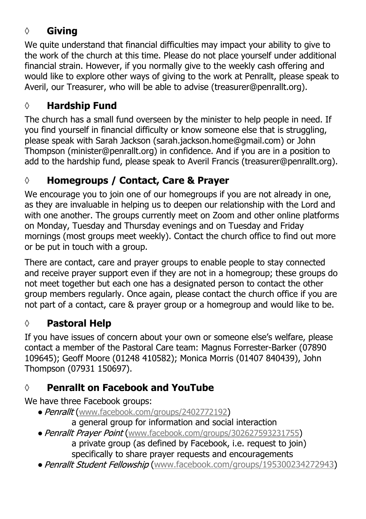## **◊ Giving**

We quite understand that financial difficulties may impact your ability to give to the work of the church at this time. Please do not place yourself under additional financial strain. However, if you normally give to the weekly cash offering and would like to explore other ways of giving to the work at Penrallt, please speak to Averil, our Treasurer, who will be able to advise (treasurer@penrallt.org).

### **◊ Hardship Fund**

The church has a small fund overseen by the minister to help people in need. If you find yourself in financial difficulty or know someone else that is struggling, please speak with Sarah Jackson (sarah.jackson.home@gmail.com) or John Thompson (minister@penrallt.org) in confidence. And if you are in a position to add to the hardship fund, please speak to Averil Francis (treasurer@penrallt.org).

# **◊ Homegroups / Contact, Care & Prayer**

We encourage you to join one of our homegroups if you are not already in one, as they are invaluable in helping us to deepen our relationship with the Lord and with one another. The groups currently meet on Zoom and other online platforms on Monday, Tuesday and Thursday evenings and on Tuesday and Friday mornings (most groups meet weekly). Contact the church office to find out more or be put in touch with a group.

There are contact, care and prayer groups to enable people to stay connected and receive prayer support even if they are not in a homegroup; these groups do not meet together but each one has a designated person to contact the other group members regularly. Once again, please contact the church office if you are not part of a contact, care & prayer group or a homegroup and would like to be.

## **◊ Pastoral Help**

If you have issues of concern about your own or someone else's welfare, please contact a member of the Pastoral Care team: Magnus Forrester-Barker (07890 109645); Geoff Moore (01248 410582); Monica Morris (01407 840439), John Thompson (07931 150697).

# **◊ Penrallt on Facebook and YouTube**

We have three Facebook groups:

- Penrallt ([www.facebook.com/groups/2402772192](https://www.facebook.com/groups/2402772192))
	- a general group for information and social interaction
- Penrallt Prayer Point ([www.facebook.com/groups/302627593231755](https://www.facebook.com/groups/302627593231755)) a private group (as defined by Facebook, i.e. request to join) specifically to share prayer requests and encouragements
- Penrallt Student Fellowship ([www.facebook.com/groups/195300234272943](https://www.facebook.com/groups/195300234272943))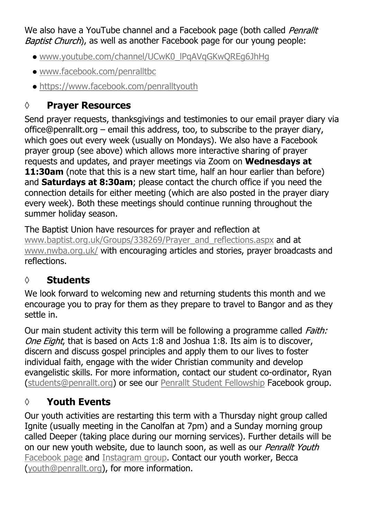We also have a YouTube channel and a Facebook page (both called *Penrallt* Baptist Church), as well as another Facebook page for our young people:

- [www.youtube.com/channel/UCwK0\\_lPqAVqGKwQREg6JhHg](https://www.youtube.com/channel/UCwK0_lPqAVqGKwQREg6JhHg)
- [www.facebook.com/penralltbc](https://www.facebook.com/penralltbc)
- [https://www.facebook.com/penralltyouth](https://www.youtube.com/channel/UCwK0_lPqAVqGKwQREg6JhHg)

## **◊ Prayer Resources**

Send prayer requests, thanksgivings and testimonies to our email prayer diary via office@penrallt.org – email this address, too, to subscribe to the prayer diary, which goes out every week (usually on Mondays). We also have a Facebook prayer group (see above) which allows more interactive sharing of prayer requests and updates, and prayer meetings via Zoom on **Wednesdays at 11:30am** (note that this is a new start time, half an hour earlier than before) and **Saturdays at 8:30am**; please contact the church office if you need the connection details for either meeting (which are also posted in the prayer diary every week). Both these meetings should continue running throughout the summer holiday season.

The Baptist Union have resources for prayer and reflection at [www.baptist.org.uk/Groups/338269/Prayer\\_and\\_reflections.aspx](https://www.baptist.org.uk/Groups/338269/Prayer_and_reflections.aspx) and at [www.nwba.org.uk/](http://www.nwba.org.uk/) with encouraging articles and stories, prayer broadcasts and reflections.

## **◊ Students**

We look forward to welcoming new and returning students this month and we encourage you to pray for them as they prepare to travel to Bangor and as they settle in.

Our main student activity this term will be following a programme called *Faith:* One Eight, that is based on Acts 1:8 and Joshua 1:8. Its aim is to discover, discern and discuss gospel principles and apply them to our lives to foster individual faith, engage with the wider Christian community and develop evangelistic skills. For more information, contact our student co-ordinator, Ryan [\(students@penrallt.org](mailto:students@penrallt.org)) or see our [Penrallt Student Fellowship](https://www.facebook.com/groups/195300234272943) Facebook group.

## **◊ Youth Events**

Our youth activities are restarting this term with a Thursday night group called Ignite (usually meeting in the Canolfan at 7pm) and a Sunday morning group called Deeper (taking place during our morning services). Further details will be on our new youth website, due to launch soon, as well as our Penrallt Youth [Facebook page](https://www.facebook.com/penralltyouth) and [Instagram group](https://www.instagram.com/penralltyouth/). Contact our youth worker, Becca [\(youth@penrallt.org\)](mailto:youth@penrallt.org), for more information.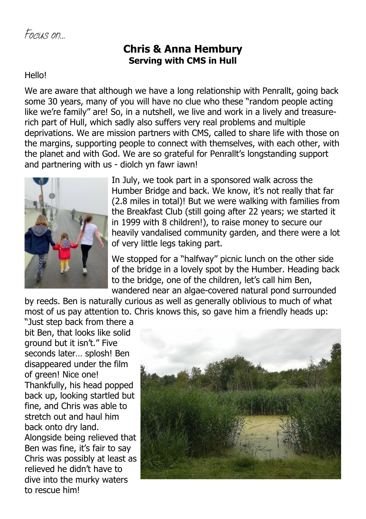### **Chris & Anna Hembury Serving with CMS in Hull**

#### Hello!

We are aware that although we have a long relationship with Penrallt, going back some 30 years, many of you will have no clue who these "random people acting like we're family" are! So, in a nutshell, we live and work in a lively and treasurerich part of Hull, which sadly also suffers very real problems and multiple deprivations. We are mission partners with CMS, called to share life with those on the margins, supporting people to connect with themselves, with each other, with the planet and with God. We are so grateful for Penrallt's longstanding support and partnering with us - diolch yn fawr iawn!



In July, we took part in a sponsored walk across the Humber Bridge and back. We know, it's not really that far (2.8 miles in total)! But we were walking with families from the Breakfast Club (still going after 22 years; we started it in 1999 with 8 children!), to raise money to secure our heavily vandalised community garden, and there were a lot of very little legs taking part.

We stopped for a "halfway" picnic lunch on the other side of the bridge in a lovely spot by the Humber. Heading back to the bridge, one of the children, let's call him Ben, wandered near an algae-covered natural pond surrounded

by reeds. Ben is naturally curious as well as generally oblivious to much of what most of us pay attention to. Chris knows this, so gave him a friendly heads up:

"Just step back from there a bit Ben, that looks like solid ground but it isn't." Five seconds later… splosh! Ben disappeared under the film of green! Nice one! Thankfully, his head popped back up, looking startled but fine, and Chris was able to stretch out and haul him back onto dry land. Alongside being relieved that Ben was fine, it's fair to say Chris was possibly at least as relieved he didn't have to dive into the murky waters to rescue him!